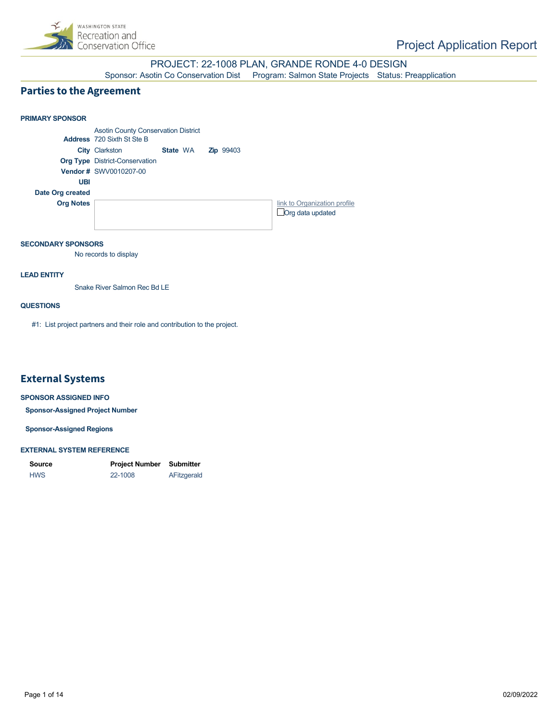

PROJECT: 22-1008 PLAN, GRANDE RONDE 4-0 DESIGN Sponsor: Asotin Co Conservation Dist Program: Salmon State Projects Status: Preapplication

#### **Parties to the Agreement**

#### **PRIMARY SPONSOR** Asotin County Conservation District **Address** 720 Sixth St Ste B **City** Clarkston **State** WA **Zip** 99403 **Org Type** District-Conservation **Vendor #** SWV0010207-00 **UBI Date Org created Org Notes [link to Organization profile](https://secure.rco.wa.gov/PRISM/Sponsor/My/Organization/Index/1109) Org data updated** State WA

#### **SECONDARY SPONSORS**

No records to display

#### **LEAD ENTITY**

Snake River Salmon Rec Bd LE

#### **QUESTIONS**

#1: List project partners and their role and contribution to the project.

## **External Systems**

#### **SPONSOR ASSIGNED INFO**

**Sponsor-Assigned Project Number**

**Sponsor-Assigned Regions**

#### **EXTERNAL SYSTEM REFERENCE**

| <b>Source</b> | Project Number | Submitter   |
|---------------|----------------|-------------|
| <b>HWS</b>    | 22-1008        | AFitzgerald |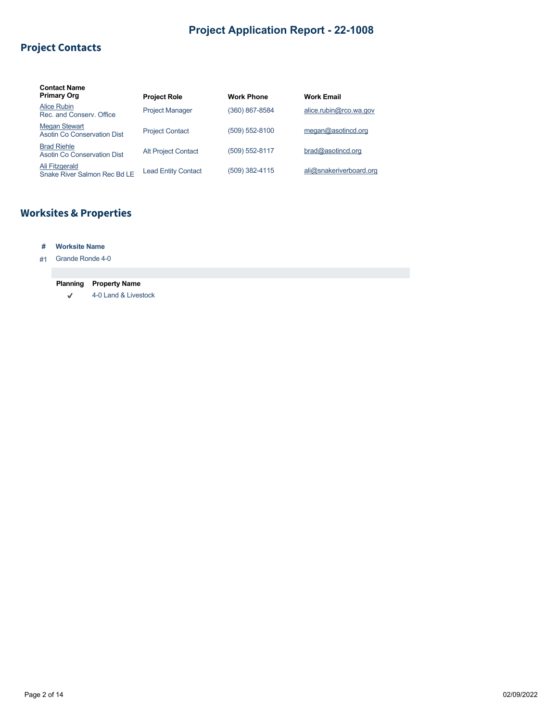## **Project Contacts**

| <b>Contact Name</b><br><b>Primary Org</b>           | <b>Project Role</b>        | <b>Work Phone</b> | <b>Work Email</b>       |
|-----------------------------------------------------|----------------------------|-------------------|-------------------------|
| Alice Rubin<br>Rec. and Conserv. Office             | <b>Project Manager</b>     | (360) 867-8584    | alice.rubin@rco.wa.gov  |
| <b>Megan Stewart</b><br>Asotin Co Conservation Dist | <b>Project Contact</b>     | (509) 552-8100    | meqan@asotincd.org      |
| <b>Brad Riehle</b><br>Asotin Co Conservation Dist   | <b>Alt Project Contact</b> | (509) 552-8117    | bra@asotincd.org        |
| Ali Fitzgerald<br>Snake River Salmon Rec Bd LE      | <b>Lead Entity Contact</b> | (509) 382-4115    | ali@snakeriverboard.org |

# **Worksites & Properties**

#### **# Worksite Name**

#### #1 Grande Ronde 4-0

# **Planning Property Name**

 $\sqrt{\phantom{a}}$ 4-0 Land & Livestock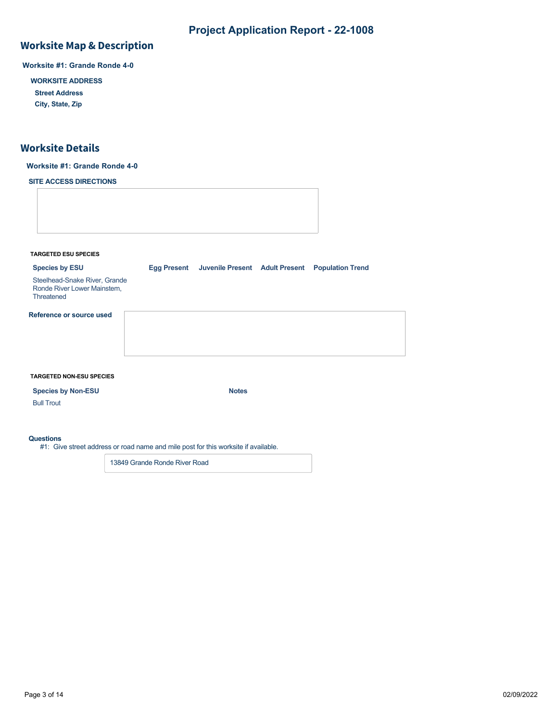## **Worksite Map & Description**

**Worksite #1: Grande Ronde 4-0**

**WORKSITE ADDRESS**

**Street Address**

**City, State, Zip**

## **Worksite Details**

#### **Worksite #1: Grande Ronde 4-0**

**SITE ACCESS DIRECTIONS**

**TARGETED ESU SPECIES**

**Species by ESU Egg Present Juvenile Present Adult Present Population Trend**

Steelhead-Snake River, Grande Ronde River Lower Mainstem, **Threatened** 

**Reference or source used**

#### **TARGETED NON-ESU SPECIES**

**Species by Non-ESU Notes** 

#### **Questions**

Bull Trout

#1: Give street address or road name and mile post for this worksite if available.

13849 Grande Ronde River Road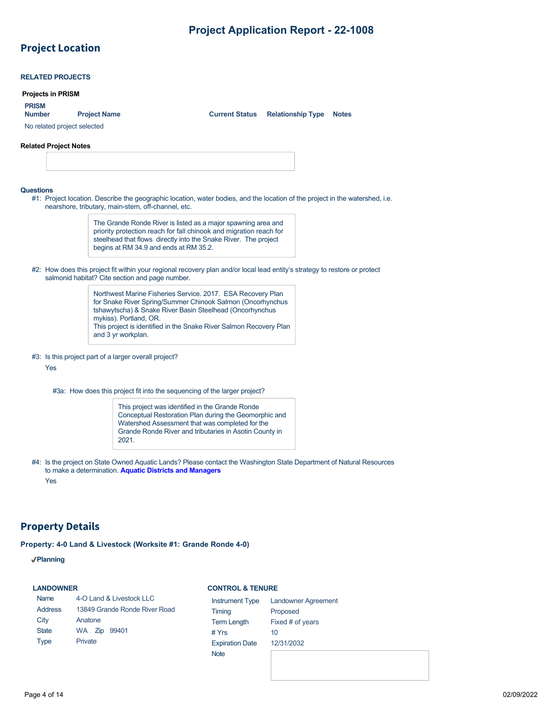# **Project Location**

|                              | <b>Projects in PRISM</b>                                                                                                                                                      |
|------------------------------|-------------------------------------------------------------------------------------------------------------------------------------------------------------------------------|
| <b>PRISM</b>                 |                                                                                                                                                                               |
| <b>Number</b>                | <b>Project Name</b><br><b>Current Status</b><br><b>Relationship Type</b><br><b>Notes</b>                                                                                      |
| No related project selected  |                                                                                                                                                                               |
| <b>Related Project Notes</b> |                                                                                                                                                                               |
|                              |                                                                                                                                                                               |
|                              |                                                                                                                                                                               |
|                              |                                                                                                                                                                               |
| Questions                    | #1: Project location. Describe the geographic location, water bodies, and the location of the project in the watershed, i.e.                                                  |
|                              | nearshore, tributary, main-stem, off-channel, etc.                                                                                                                            |
|                              | The Grande Ronde River is listed as a major spawning area and<br>priority protection reach for fall chinook and migration reach for                                           |
|                              | steelhead that flows directly into the Snake River. The project                                                                                                               |
|                              | begins at RM 34.9 and ends at RM 35.2.                                                                                                                                        |
|                              |                                                                                                                                                                               |
|                              |                                                                                                                                                                               |
|                              | #2: How does this project fit within your regional recovery plan and/or local lead entity's strategy to restore or protect<br>salmonid habitat? Cite section and page number. |
|                              | Northwest Marine Fisheries Service. 2017. ESA Recovery Plan                                                                                                                   |
|                              | for Snake River Spring/Summer Chinook Salmon (Oncorhynchus                                                                                                                    |
|                              | tshawytscha) & Snake River Basin Steelhead (Oncorhynchus<br>mykiss). Portland, OR.                                                                                            |
|                              | This project is identified in the Snake River Salmon Recovery Plan                                                                                                            |
|                              | and 3 yr workplan.                                                                                                                                                            |
|                              | #3: Is this project part of a larger overall project?                                                                                                                         |
| Yes                          |                                                                                                                                                                               |
|                              |                                                                                                                                                                               |
|                              | #3a: How does this project fit into the sequencing of the larger project?                                                                                                     |
|                              | This project was identified in the Grande Ronde                                                                                                                               |
|                              | Conceptual Restoration Plan during the Geomorphic and<br>Watershed Assessment that was completed for the                                                                      |
|                              | Grande Ronde River and tributaries in Asotin County in<br>2021.                                                                                                               |

## **Property Details**

**Property: 4-0 Land & Livestock (Worksite #1: Grande Ronde 4-0)**

**Planning**

#### **LANDOWNER**

Name

#### **CONTROL & TENURE**

| Name           | 4-O Land & Livestock LLC      | <b>Instrument Type</b> | <b>Landowner Agreement</b> |
|----------------|-------------------------------|------------------------|----------------------------|
| <b>Address</b> | 13849 Grande Ronde River Road | Timing                 | Proposed                   |
| City           | Anatone                       | <b>Term Length</b>     | Fixed # of years           |
| <b>State</b>   | WA Zip 99401                  | # $Yrs$                | 10                         |
| <b>Type</b>    | Private                       | <b>Expiration Date</b> | 12/31/2032                 |
|                |                               | <b>Note</b>            |                            |
|                |                               |                        |                            |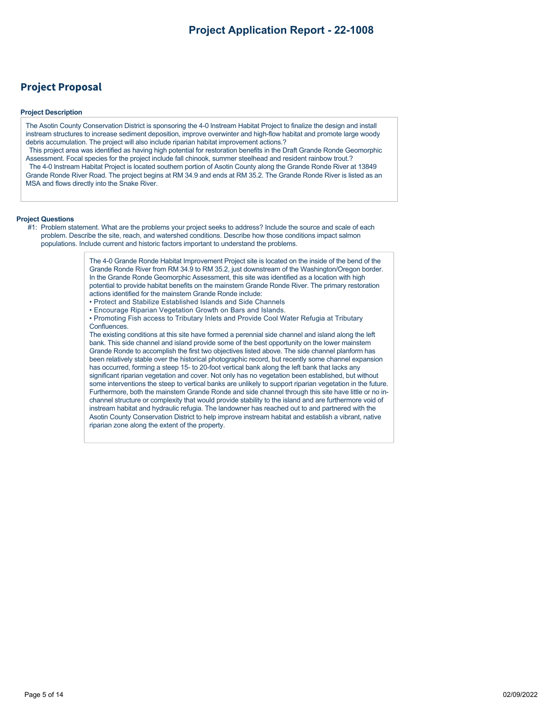## **Project Proposal**

#### **Project Description**

The Asotin County Conservation District is sponsoring the 4-0 lnstream Habitat Project to finalize the design and install instream structures to increase sediment deposition, improve overwinter and high-flow habitat and promote large woody debris accumulation. The project will also include riparian habitat improvement actions.?

This project area was identified as having high potential for restoration benefits in the Draft Grande Ronde Geomorphic Assessment. Focal species for the project include fall chinook, summer steelhead and resident rainbow trout.? The 4-0 lnstream Habitat Project is located southern portion of Asotin County along the Grande Ronde River at 13849 Grande Ronde River Road. The project begins at RM 34.9 and ends at RM 35.2. The Grande Ronde River is listed as an MSA and flows directly into the Snake River.

#### **Project Questions**

#1: Problem statement. What are the problems your project seeks to address? Include the source and scale of each problem. Describe the site, reach, and watershed conditions. Describe how those conditions impact salmon populations. Include current and historic factors important to understand the problems.

> The 4-0 Grande Ronde Habitat Improvement Project site is located on the inside of the bend of the Grande Ronde River from RM 34.9 to RM 35.2, just downstream of the Washington/Oregon border. In the Grande Ronde Geomorphic Assessment, this site was identified as a location with high potential to provide habitat benefits on the mainstem Grande Ronde River. The primary restoration actions identified for the mainstem Grande Ronde include:

- Protect and Stabilize Established Islands and Side Channels
- Encourage Riparian Vegetation Growth on Bars and Islands.
- Promoting Fish access to Tributary Inlets and Provide Cool Water Refugia at Tributary Confluences.

The existing conditions at this site have formed a perennial side channel and island along the left bank. This side channel and island provide some of the best opportunity on the lower mainstem Grande Ronde to accomplish the first two objectives listed above. The side channel planform has been relatively stable over the historical photographic record, but recently some channel expansion has occurred, forming a steep 15- to 20-foot vertical bank along the left bank that lacks any significant riparian vegetation and cover. Not only has no vegetation been established, but without some interventions the steep to vertical banks are unlikely to support riparian vegetation in the future. Furthermore, both the mainstem Grande Ronde and side channel through this site have little or no inchannel structure or complexity that would provide stability to the island and are furthermore void of instream habitat and hydraulic refugia. The landowner has reached out to and partnered with the Asotin County Conservation District to help improve instream habitat and establish a vibrant, native riparian zone along the extent of the property.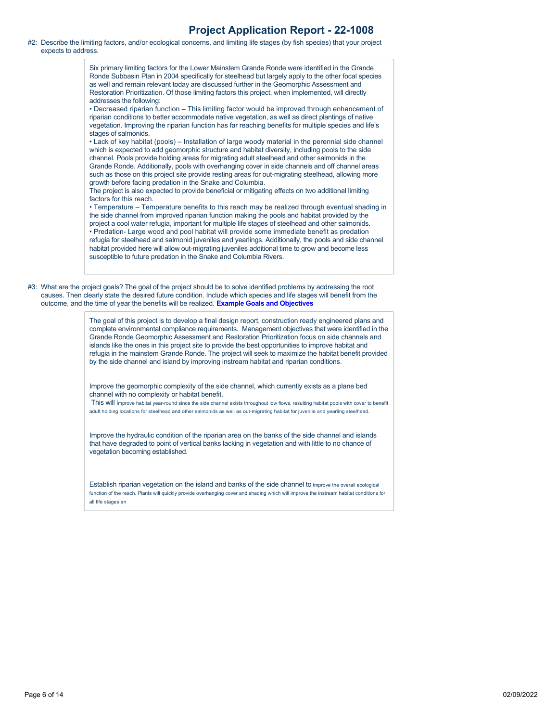#2: Describe the limiting factors, and/or ecological concerns, and limiting life stages (by fish species) that your project expects to address.

> Six primary limiting factors for the Lower Mainstem Grande Ronde were identified in the Grande Ronde Subbasin Plan in 2004 specifically for steelhead but largely apply to the other focal species as well and remain relevant today are discussed further in the Geomorphic Assessment and Restoration Prioritization. Of those limiting factors this project, when implemented, will directly addresses the following:

> • Decreased riparian function – This limiting factor would be improved through enhancement of riparian conditions to better accommodate native vegetation, as well as direct plantings of native vegetation. Improving the riparian function has far reaching benefits for multiple species and life's stages of salmonids.

> • Lack of key habitat (pools) – Installation of large woody material in the perennial side channel which is expected to add geomorphic structure and habitat diversity, including pools to the side channel. Pools provide holding areas for migrating adult steelhead and other salmonids in the Grande Ronde. Additionally, pools with overhanging cover in side channels and off channel areas such as those on this project site provide resting areas for out-migrating steelhead, allowing more growth before facing predation in the Snake and Columbia.

The project is also expected to provide beneficial or mitigating effects on two additional limiting factors for this reach.

• Temperature – Temperature benefits to this reach may be realized through eventual shading in the side channel from improved riparian function making the pools and habitat provided by the project a cool water refugia, important for multiple life stages of steelhead and other salmonids. • Predation- Large wood and pool habitat will provide some immediate benefit as predation refugia for steelhead and salmonid juveniles and yearlings. Additionally, the pools and side channel habitat provided here will allow out-migrating juveniles additional time to grow and become less susceptible to future predation in the Snake and Columbia Rivers.

#3: What are the project goals? The goal of the project should be to solve identified problems by addressing the root causes. Then clearly state the desired future condition. Include which species and life stages will benefit from the outcome, and the time of year the benefits will be realized. **[Example Goals and Objectives](https://rco.wa.gov/wp-content/uploads/2020/02/SRFB-Goals-and-Objectives-Examples.docx)**

> The goal of this project is to develop a final design report, construction ready engineered plans and complete environmental compliance requirements. Management objectives that were identified in the Grande Ronde Geomorphic Assessment and Restoration Prioritization focus on side channels and islands like the ones in this project site to provide the best opportunities to improve habitat and refugia in the mainstem Grande Ronde. The project will seek to maximize the habitat benefit provided by the side channel and island by improving instream habitat and riparian conditions.

Improve the geomorphic complexity of the side channel, which currently exists as a plane bed channel with no complexity or habitat benefit.

 This will improve habitat year-round since the side channel exists throughout low flows, resulting habitat pools with cover to benefit adult holding locations for steelhead and other salmonids as well as out-migrating habitat for juvenile and yearling steelhead.

Improve the hydraulic condition of the riparian area on the banks of the side channel and islands that have degraded to point of vertical banks lacking in vegetation and with little to no chance of vegetation becoming established.

Establish riparian vegetation on the island and banks of the side channel to improve the overall ecological function of the reach. Plants will quickly provide overhanging cover and shading which will improve the instream habitat conditions for all life stages an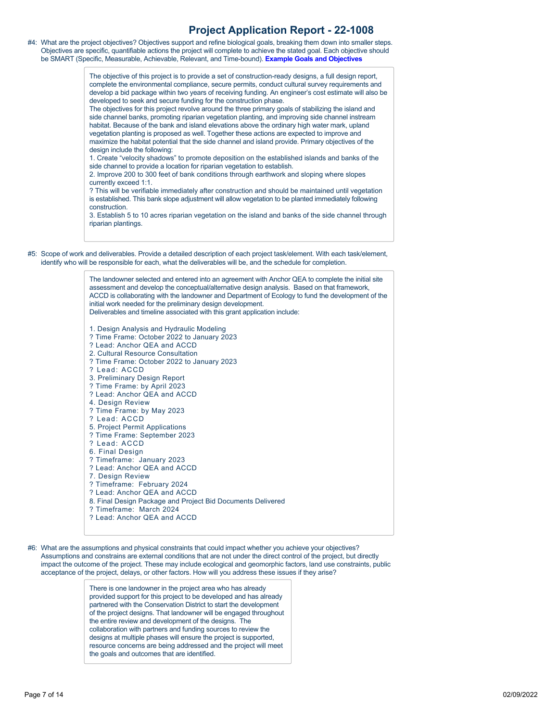#4: What are the project objectives? Objectives support and refine biological goals, breaking them down into smaller steps. Objectives are specific, quantifiable actions the project will complete to achieve the stated goal. Each objective should be SMART (Specific, Measurable, Achievable, Relevant, and Time-bound). **[Example Goals and Objectives](https://rco.wa.gov/wp-content/uploads/2020/02/SRFB-Goals-and-Objectives-Examples.docx)**

> The objective of this project is to provide a set of construction-ready designs, a full design report, complete the environmental compliance, secure permits, conduct cultural survey requirements and develop a bid package within two years of receiving funding. An engineer's cost estimate will also be developed to seek and secure funding for the construction phase.

The objectives for this project revolve around the three primary goals of stabilizing the island and side channel banks, promoting riparian vegetation planting, and improving side channel instream habitat. Because of the bank and island elevations above the ordinary high water mark, upland vegetation planting is proposed as well. Together these actions are expected to improve and maximize the habitat potential that the side channel and island provide. Primary objectives of the design include the following:

1. Create "velocity shadows" to promote deposition on the established islands and banks of the side channel to provide a location for riparian vegetation to establish.

2. Improve 200 to 300 feet of bank conditions through earthwork and sloping where slopes currently exceed 1:1.

? This will be verifiable immediately after construction and should be maintained until vegetation is established. This bank slope adjustment will allow vegetation to be planted immediately following construction.

3. Establish 5 to 10 acres riparian vegetation on the island and banks of the side channel through riparian plantings.

#5: Scope of work and deliverables. Provide a detailed description of each project task/element. With each task/element, identify who will be responsible for each, what the deliverables will be, and the schedule for completion.

> The landowner selected and entered into an agreement with Anchor QEA to complete the initial site assessment and develop the conceptual/alternative design analysis. Based on that framework, ACCD is collaborating with the landowner and Department of Ecology to fund the development of the initial work needed for the preliminary design development. Deliverables and timeline associated with this grant application include: 1. Design Analysis and Hydraulic Modeling ? Time Frame: October 2022 to January 2023 ? Lead: Anchor QEA and ACCD 2. Cultural Resource Consultation ? Time Frame: October 2022 to January 2023

- ? Lead: ACCD
- 3. Preliminary Design Report
- ? Time Frame: by April 2023
- ? Lead: Anchor QEA and ACCD
- 4. Design Review
- ? Time Frame: by May 2023
- ? Lead: ACCD
- 5. Project Permit Applications
- ? Time Frame: September 2023
- ? Lead: ACCD
- 6. Final Design
- ? Timeframe: January 2023
- ? Lead: Anchor QEA and ACCD
- 7. Design Review
- ? Timeframe: February 2024
- ? Lead: Anchor QEA and ACCD
- 8. Final Design Package and Project Bid Documents Delivered
- ? Timeframe: March 2024 ? Lead: Anchor QEA and ACCD
- 

#6: What are the assumptions and physical constraints that could impact whether you achieve your objectives? Assumptions and constrains are external conditions that are not under the direct control of the project, but directly impact the outcome of the project. These may include ecological and geomorphic factors, land use constraints, public acceptance of the project, delays, or other factors. How will you address these issues if they arise?

> There is one landowner in the project area who has already provided support for this project to be developed and has already partnered with the Conservation District to start the development of the project designs. That landowner will be engaged throughout the entire review and development of the designs. The collaboration with partners and funding sources to review the designs at multiple phases will ensure the project is supported, resource concerns are being addressed and the project will meet the goals and outcomes that are identified.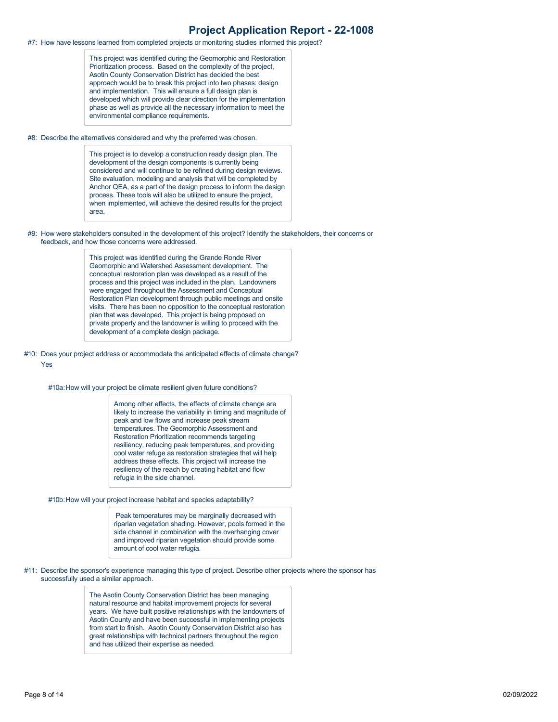#7: How have lessons learned from completed projects or monitoring studies informed this project?

This project was identified during the Geomorphic and Restoration Prioritization process. Based on the complexity of the project, Asotin County Conservation District has decided the best approach would be to break this project into two phases: design and implementation. This will ensure a full design plan is developed which will provide clear direction for the implementation phase as well as provide all the necessary information to meet the environmental compliance requirements.

#8: Describe the alternatives considered and why the preferred was chosen.

This project is to develop a construction ready design plan. The development of the design components is currently being considered and will continue to be refined during design reviews. Site evaluation, modeling and analysis that will be completed by Anchor QEA, as a part of the design process to inform the design process. These tools will also be utilized to ensure the project, when implemented, will achieve the desired results for the project area.

#9: How were stakeholders consulted in the development of this project? Identify the stakeholders, their concerns or feedback, and how those concerns were addressed.

> This project was identified during the Grande Ronde River Geomorphic and Watershed Assessment development. The conceptual restoration plan was developed as a result of the process and this project was included in the plan. Landowners were engaged throughout the Assessment and Conceptual Restoration Plan development through public meetings and onsite visits. There has been no opposition to the conceptual restoration plan that was developed. This project is being proposed on private property and the landowner is willing to proceed with the development of a complete design package.

#10: Does your project address or accommodate the anticipated effects of climate change? Yes

#10a:How will your project be climate resilient given future conditions?

Among other effects, the effects of climate change are likely to increase the variability in timing and magnitude of peak and low flows and increase peak stream temperatures. The Geomorphic Assessment and Restoration Prioritization recommends targeting resiliency, reducing peak temperatures, and providing cool water refuge as restoration strategies that will help address these effects. This project will increase the resiliency of the reach by creating habitat and flow refugia in the side channel.

#10b:How will your project increase habitat and species adaptability?

 Peak temperatures may be marginally decreased with riparian vegetation shading. However, pools formed in the side channel in combination with the overhanging cover and improved riparian vegetation should provide some amount of cool water refugia.

#11: Describe the sponsor's experience managing this type of project. Describe other projects where the sponsor has successfully used a similar approach.

> The Asotin County Conservation District has been managing natural resource and habitat improvement projects for several years. We have built positive relationships with the landowners of Asotin County and have been successful in implementing projects from start to finish. Asotin County Conservation District also has great relationships with technical partners throughout the region and has utilized their expertise as needed.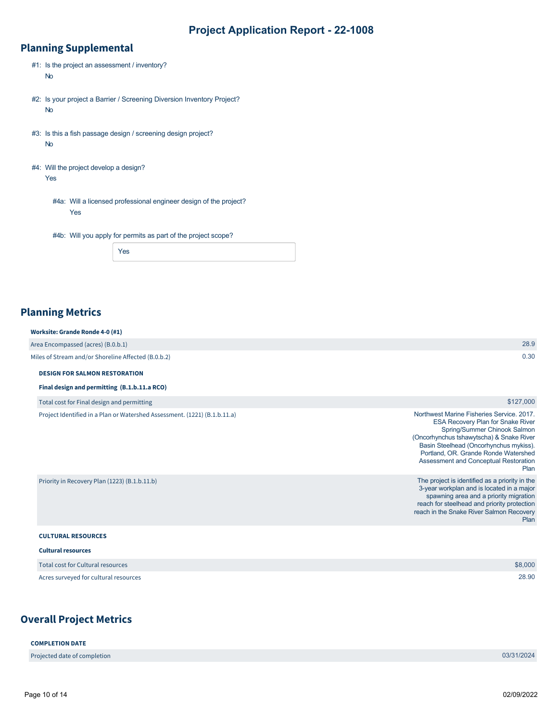## **Planning Supplemental**

| $#1$ : Is the project an assessment / inventory?<br><b>No</b>                       |
|-------------------------------------------------------------------------------------|
| #2: Is your project a Barrier / Screening Diversion Inventory Project?<br><b>No</b> |
| #3: Is this a fish passage design / screening design project?<br><b>No</b>          |

#4: Will the project develop a design? Yes

> #4a: Will a licensed professional engineer design of the project? Yes

#4b: Will you apply for permits as part of the project scope?

| $-95$ |
|-------|
|-------|

## **Planning Metrics**

| Worksite: Grande Ronde 4-0 (#1)                     |      |
|-----------------------------------------------------|------|
| Area Encompassed (acres) (B.0.b.1)                  | 28.9 |
| Miles of Stream and/or Shoreline Affected (B.0.b.2) | 0.30 |

#### **DESIGN FOR SALMON RESTORATION**

**Final design and permitting (B.1.b.11.a RCO)**

Total cost for Final design and permitting

Project Identified in a Plan or Watershed Assessment. (1221) (B.1.b.11.a)

|                                               | <b>ESA Recovery Plan for Snake River</b><br>Spring/Summer Chinook Salmon<br>(Oncorhynchus tshawytscha) & Snake River<br>Basin Steelhead (Oncorhynchus mykiss).<br>Portland, OR. Grande Ronde Watershed<br>Assessment and Conceptual Restoration<br>Plan |
|-----------------------------------------------|---------------------------------------------------------------------------------------------------------------------------------------------------------------------------------------------------------------------------------------------------------|
| Priority in Recovery Plan (1223) (B.1.b.11.b) | The project is identified as a priority in the<br>3-year workplan and is located in a major<br>spawning area and a priority migration<br>reach for steelhead and priority protection<br>reach in the Snake River Salmon Recovery<br>Plan                |
| <b>CULTURAL RESOURCES</b>                     |                                                                                                                                                                                                                                                         |

#### **Cultural resources**

| .                                     |         |
|---------------------------------------|---------|
| Total cost for Cultural resources     | \$8,000 |
| Acres surveyed for cultural resources | 28.90   |

## **Overall Project Metrics**

Projected date of completion 03/31/2024

\$127,000

Northwest Marine Fisheries Service. 2017.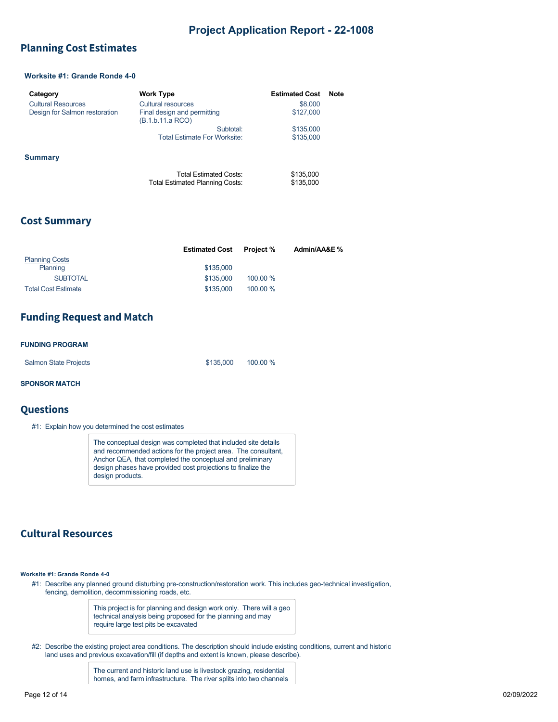## <span id="page-9-0"></span>**Planning Cost Estimates**

#### **Worksite #1: Grande Ronde 4-0**

| Category                      | <b>Work Type</b>                                          | <b>Estimated Cost</b>  | <b>Note</b> |
|-------------------------------|-----------------------------------------------------------|------------------------|-------------|
| <b>Cultural Resources</b>     | Cultural resources                                        | \$8,000                |             |
| Design for Salmon restoration | Final design and permitting<br>(B.1.b.11.a RCO)           | \$127,000              |             |
|                               | Subtotal:                                                 | \$135,000              |             |
|                               | <b>Total Estimate For Worksite:</b>                       | \$135,000              |             |
| <b>Summary</b>                |                                                           |                        |             |
|                               | Total Estimated Costs:<br>Total Estimated Planning Costs: | \$135,000<br>\$135,000 |             |

#### **Cost Summary**

|                            | <b>Estimated Cost</b> | <b>Project</b> % | Admin/AA&E % |
|----------------------------|-----------------------|------------------|--------------|
| <b>Planning Costs</b>      |                       |                  |              |
| Planning                   | \$135,000             |                  |              |
| <b>SUBTOTAL</b>            | \$135,000             | 100.00 %         |              |
| <b>Total Cost Estimate</b> | \$135,000             | 100.00 %         |              |

## **Funding Request and Match**

#### **FUNDING PROGRAM**

| <b>Salmon State Projects</b> | \$135,000 | 100.00 % |
|------------------------------|-----------|----------|
|                              |           |          |

#### **SPONSOR MATCH**

#### **Questions**

#1: Explain how you determined the cost estimates

The conceptual design was completed that included site details and recommended actions for the project area. The consultant, Anchor QEA, that completed the conceptual and preliminary design phases have provided cost projections to finalize the design products.

## **Cultural Resources**

**Worksite #1: Grande Ronde 4-0**

#1: Describe any planned ground disturbing pre-construction/restoration work. This includes geo-technical investigation, fencing, demolition, decommissioning roads, etc.

> This project is for planning and design work only. There will a geo technical analysis being proposed for the planning and may require large test pits be excavated

#2: Describe the existing project area conditions. The description should include existing conditions, current and historic land uses and previous excavation/fill (if depths and extent is known, please describe).

> The current and historic land use is livestock grazing, residential homes, and farm infrastructure. The river splits into two channels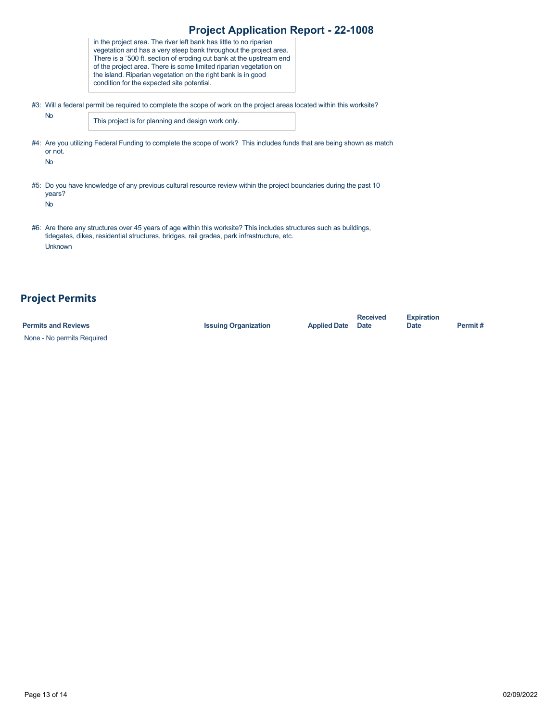| <b>Project Application Report - 22-1008</b>                                                                            |                                                                                                                                                                                                                                                                                                                                                                                                   |  |  |  |  |  |  |  |
|------------------------------------------------------------------------------------------------------------------------|---------------------------------------------------------------------------------------------------------------------------------------------------------------------------------------------------------------------------------------------------------------------------------------------------------------------------------------------------------------------------------------------------|--|--|--|--|--|--|--|
|                                                                                                                        | in the project area. The river left bank has little to no riparian<br>vegetation and has a very steep bank throughout the project area.<br>There is a ~500 ft. section of eroding cut bank at the upstream end<br>of the project area. There is some limited riparian vegetation on<br>the island. Riparian vegetation on the right bank is in good<br>condition for the expected site potential. |  |  |  |  |  |  |  |
| #3: Will a federal permit be required to complete the scope of work on the project areas located within this worksite? |                                                                                                                                                                                                                                                                                                                                                                                                   |  |  |  |  |  |  |  |
| <b>No</b>                                                                                                              | This project is for planning and design work only.                                                                                                                                                                                                                                                                                                                                                |  |  |  |  |  |  |  |
| or not.<br><b>No</b>                                                                                                   | #4: Are you utilizing Federal Funding to complete the scope of work? This includes funds that are being shown as match                                                                                                                                                                                                                                                                            |  |  |  |  |  |  |  |
| years?<br><b>No</b>                                                                                                    | #5: Do you have knowledge of any previous cultural resource review within the project boundaries during the past 10                                                                                                                                                                                                                                                                               |  |  |  |  |  |  |  |
| Unknown                                                                                                                | #6: Are there any structures over 45 years of age within this worksite? This includes structures such as buildings,<br>tidegates, dikes, residential structures, bridges, rail grades, park infrastructure, etc.                                                                                                                                                                                  |  |  |  |  |  |  |  |

# **Project Permits**

| <b>Permits and Reviews</b> | <b>Issuing Organization</b> | <b>Applied Date</b> | <b>Received</b><br>Date | <b>Expiration</b><br>Date | Permit# |
|----------------------------|-----------------------------|---------------------|-------------------------|---------------------------|---------|
| None - No permits Required |                             |                     |                         |                           |         |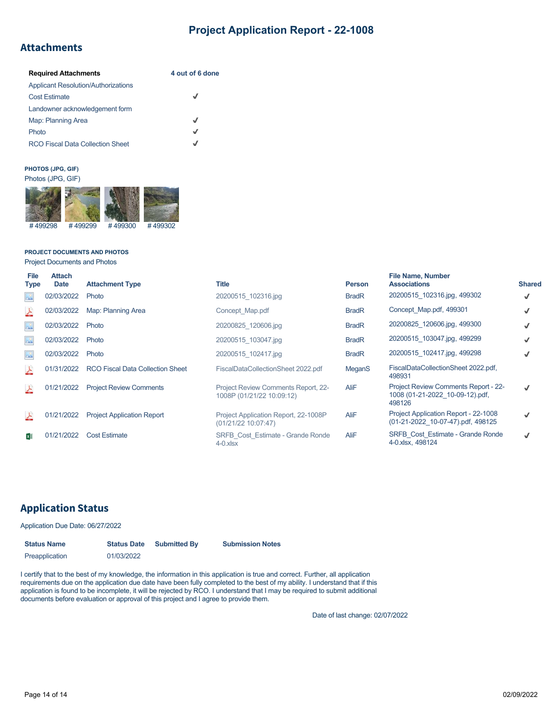## **Attachments**

| <b>Required Attachments</b>                | 4 out of 6 done |
|--------------------------------------------|-----------------|
| <b>Applicant Resolution/Authorizations</b> |                 |
| <b>Cost Estimate</b>                       | J               |
| Landowner acknowledgement form             |                 |
| Map: Planning Area                         | √               |
| Photo                                      | √               |
| <b>RCO Fiscal Data Collection Sheet</b>    | J               |

## **PHOTOS (JPG, GIF)**



#### **PROJECT DOCUMENTS AND PHOTOS**

Project Documents and Photos

| File<br><b>Type</b> | <b>Attach</b><br><b>Date</b> | <b>Attachment Type</b>            | <b>Title</b>                                                     | <b>Person</b> | <b>File Name, Number</b><br><b>Associations</b>                                          | <b>Shared</b> |
|---------------------|------------------------------|-----------------------------------|------------------------------------------------------------------|---------------|------------------------------------------------------------------------------------------|---------------|
| $\infty$            | 02/03/2022                   | Photo                             | 20200515 102316.jpg                                              | <b>BradR</b>  | 20200515 102316.jpg, 499302                                                              | √             |
| 스                   | 02/03/2022                   | Map: Planning Area                | Concept Map.pdf                                                  | <b>BradR</b>  | Concept Map.pdf, 499301                                                                  |               |
| $\frac{1}{2}$       | 02/03/2022                   | Photo                             | 20200825 120606.jpg                                              | <b>BradR</b>  | 20200825 120606.jpg, 499300                                                              |               |
| $\Lambda^0$         | 02/03/2022                   | Photo                             | 20200515 103047.jpg                                              | <b>BradR</b>  | 20200515 103047.jpg, 499299                                                              |               |
| $\frac{1}{2}$       | 02/03/2022                   | Photo                             | 20200515 102417.jpg                                              | <b>BradR</b>  | 20200515 102417.jpg, 499298                                                              |               |
| $\frac{\lambda}{2}$ | 01/31/2022                   | RCO Fiscal Data Collection Sheet  | FiscalDataCollectionSheet 2022.pdf                               | MeganS        | FiscalDataCollectionSheet 2022.pdf,<br>498931                                            |               |
| 스                   | 01/21/2022                   | <b>Project Review Comments</b>    | Project Review Comments Report, 22-<br>1008P (01/21/22 10:09:12) | <b>AliF</b>   | <b>Project Review Comments Report - 22-</b><br>1008 (01-21-2022 10-09-12).pdf,<br>498126 |               |
| 스                   | 01/21/2022                   | <b>Project Application Report</b> | Project Application Report, 22-1008P<br>(01/21/22 10:07:47)      | <b>AliF</b>   | Project Application Report - 22-1008<br>(01-21-2022 10-07-47).pdf, 498125                |               |
| хĮ                  | 01/21/2022                   | <b>Cost Estimate</b>              | SRFB Cost Estimate - Grande Ronde<br>$4-0$ .x $ sx $             | AliF          | <b>SRFB Cost Estimate - Grande Ronde</b><br>4-0.xlsx, 498124                             |               |

## **Application Status**

Application Due Date: 06/27/2022

| <b>Status Name</b><br><b>Status Date</b> |            | <b>Submitted By</b> | <b>Submission Notes</b> |  |  |  |
|------------------------------------------|------------|---------------------|-------------------------|--|--|--|
| Preapplication                           | 01/03/2022 |                     |                         |  |  |  |

I certify that to the best of my knowledge, the information in this application is true and correct. Further, all application requirements due on the application due date have been fully completed to the best of my ability. I understand that if this application is found to be incomplete, it will be rejected by RCO. I understand that I may be required to submit additional documents before evaluation or approval of this project and I agree to provide them.

Date of last change: 02/07/2022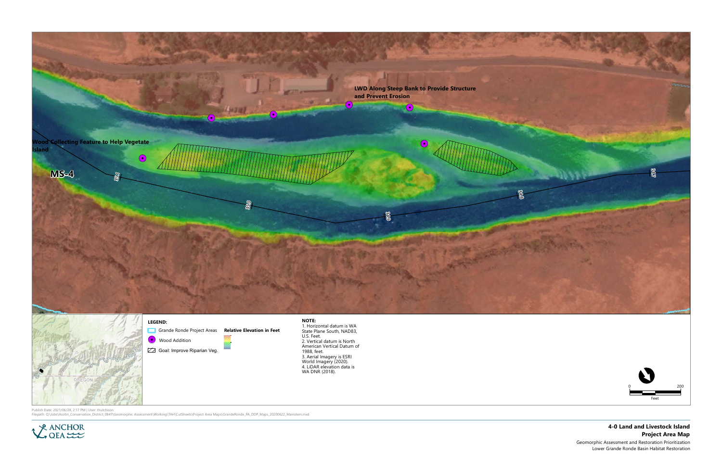



- 
- 
- 

Publish Date: 2021/06/28, 2:17 PM | User: thutchison<br>Filepath: Q:\Jobs\Asotin\_Conservation\_District\_0847\Geomorphic Assessment\Working\TAH\CutSheets\Project Area Maps\GrandeRonde\_PA\_DDP\_Maps\_20200622\_Mainstem.mxd



## 4-0 Land and Livestock Island Project Area Map

Geomorphic Assessment and Restoration Prioritization Lower Grande Ronde Basin Habitat Restoration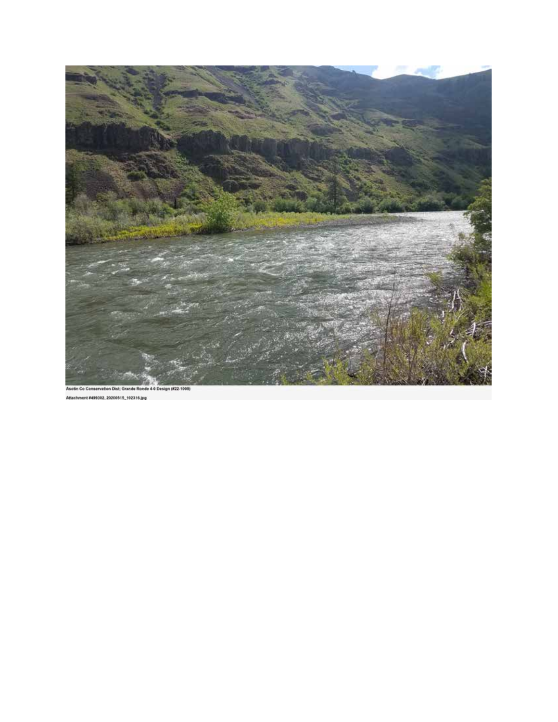

Attachment #499302, 20200515\_192316.jpg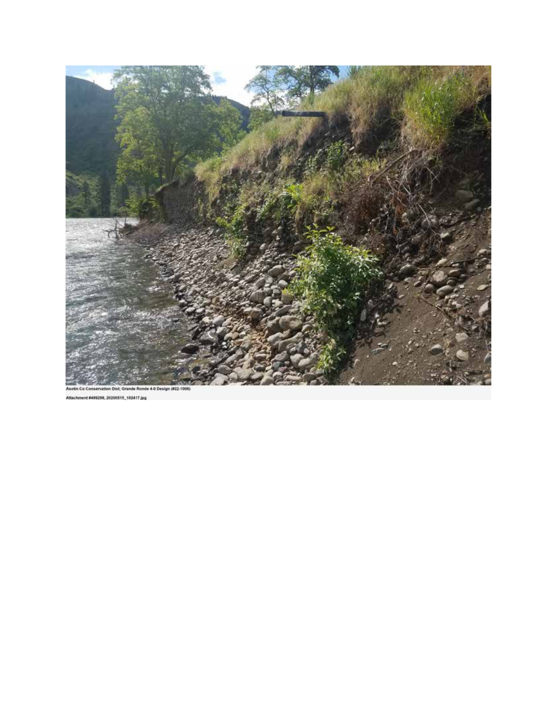

Attachment #499298, 20200515\_102417.jpg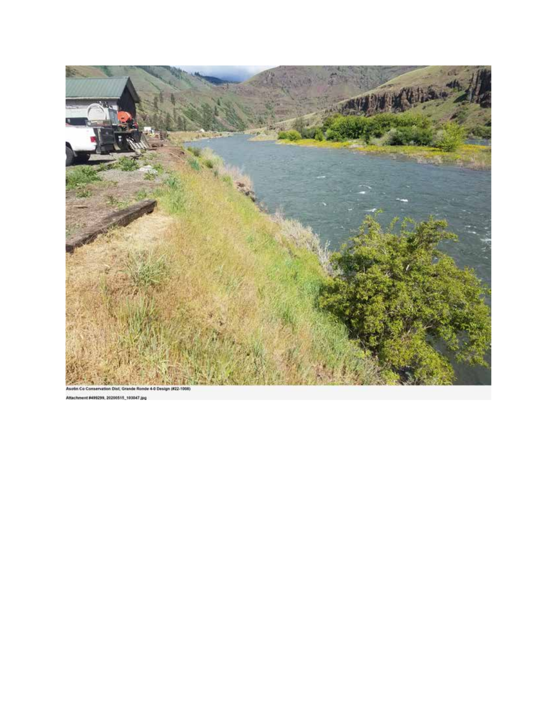

499299, 20200515, 103047.jpg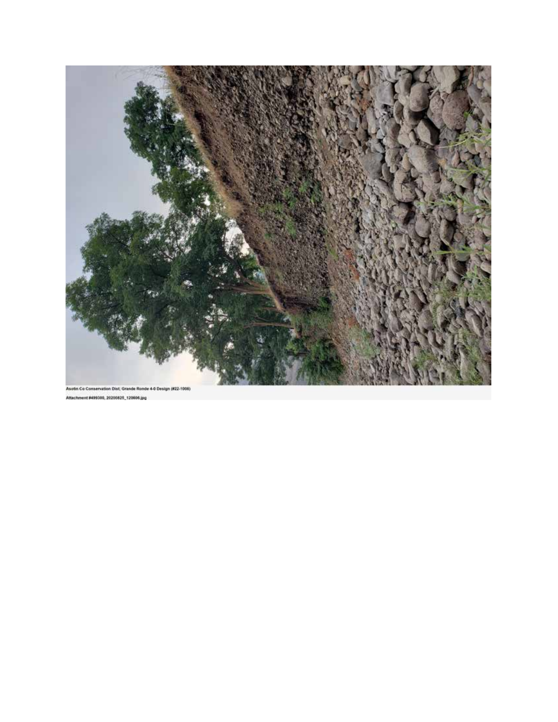

Attachment #499300, 20200825\_120606.jpg